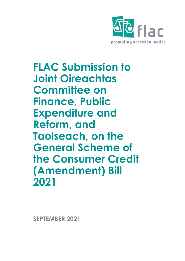

**FLAC Submission to Joint Oireachtas Committee on Finance, Public Expenditure and Reform, and Taoiseach, on the General Scheme of the Consumer Credit (Amendment) Bill 2021**

**SEPTEMBER 2021**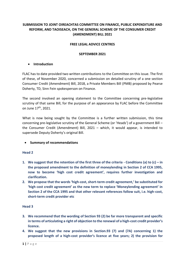# **SUBMISSION TO JOINT OIREACHTAS COMMITTEE ON FINANCE, PUBLIC EXPENDITURE AND REFORM, AND TAOISEACH, ON THE GENERAL SCHEME OF THE CONSUMER CREDIT (AMENDMENT) BILL 2021**

### **FREE LEGAL ADVICE CENTRES**

### **SEPTEMBER 2021**

### • **Introduction**

FLAC has to date provided two written contributions to the Committee on this issue. The first of these, of November 2020, concerned a submission on detailed scrutiny of a one section Consumer Credit (Amendment) Bill, 2018, a Private Members Bill (PMB) proposed by Pearse Doherty, TD, Sinn Fein spokesperson on Finance.

The second involved an opening statement to the Committee concerning pre-legislative scrutiny of that same Bill, for the purpose of an appearance by FLAC before the Committee on June 17<sup>th</sup>, 2021.

What is now being sought by the Committee is a further written submission, this time concerning pre-legislative scrutiny of the General Scheme (or 'Heads') of a government Bill – the Consumer Credit (Amendment) Bill, 2021 – which, it would appear, is intended to supersede Deputy Doherty's original Bill.

• **Summary of recommendations**

## **Head 2**

- **1. We suggest that the retention of the first three of the criteria - Conditions (a) to (c) – in the proposed amendment to the definition of moneylending in Section 2 of CCA 1995, now to become 'high cost credit agreement', requires further investigation and clarification.**
- **2. We propose that the words 'high-cost, short-term credit agreement,' be substituted for 'high cost credit agreement' as the new term to replace 'Moneylending agreement' in Section 2 of the CCA 1995 and that other relevant references follow suit, i.e. high-cost, short-term credit provider etc**

#### **Head 3**

- **3. We recommend that the wording of Section 93 (2) be far more transparent and specific in terms of articulating a right of objection to the renewal of a high-cost credit provider's licence.**
- **4. We suggest that the new provisions in Section.93 (7) and (7A) concerning 1) the proposed length of a high-cost provider's licence at five years; 2) the provision for**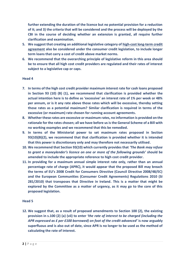**further extending the duration of the licence but no potential provision for a reduction of it; and 3) the criteria that will be considered and the process will be deployed by the CBI in the course of deciding whether an extension is granted, all require further clarification and examination.**

- **5. We suggest that creating an additional legislative category of high-cost long-term credit agreement also be considered under the consumer credit legislation, to include longer term loans that carry a cost of credit above market norms.**
- **6. We recommend that the overarching principle of legislative reform in this area should be to ensure that all high cost credit providers are regulated and their rates of interest subject to a legislative cap or caps.**

### **Head 4**

- **7. In terms of the high cost credit provider maximum interest rate for cash loans proposed in Section 93 (10) (B) (1), we recommend that clarification is provided whether the actual intention here is to define as 'excessive' an interest rate of 1% per week or 48% per annum, or is it any rate above those rates which will be excessive, thereby setting those rates as a potential maximum? Similar clarification is required in terms of the excessive (or maximum) rate chosen for running account agreements.**
- **8. Whether these rates are excessive or maximum rates, no information is provided on the rationale for the rates chosen; all we have before us is the General Scheme of a Bill with no working examples and we recommend that this be remedied.**
- **9. In terms of the Ministerial power to set maximum rates proposed in Section 93(10)(B)(2), we recommend that that clarification is provided whether it is intended that this power is discretionary only and may therefore not necessarily utilised.**
- **10. We recommend that Section 93(10) which currently provides that** *'The Bank may refuse to grant a moneylender's licence on one or more of the following grounds'* **should be amended to include the appropriate reference to high cost credit provider.**
- **11. In providing for a maximum annual simple interest rate only, rather than an annual percentage rate of charge (APRC), it would appear that the proposed Bill may breach the terms of EU's 2008 Credit for Consumers Directive (Council Directive 2008/48/EC) and the European Communities (Consumer Credit Agreements) Regulations 2010 (SI 281/2010) that transposes that Directive in Ireland. This is a matter that might be explored by the Committee as a matter of urgency, as it may go to the core of this proposed legislation.**

#### **Head 5**

**12. We suggest that, as a result of proposed amendments to Section 100 (2), the existing provision in s.100 (2) (a) (vii) to enter** *'the rate of interest to be charged (including the APR expressed as £ per £100 borrowed) on foot of the credit advanced'* **is now arguably superfluous and is also out of date, since APR is no longer to be used as the method of calculating the rate of interest.**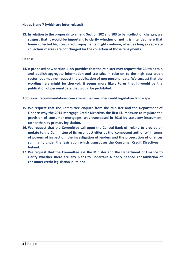**Heads 6 and 7 (which are inter-related)**

**13. In relation to the proposals to amend Section 102 and 103 to ban collection charges, we suggest that it would be important to clarify whether or not it is intended here that home collected high cost credit repayments might continue, albeit as long as separate collection charges are not charged for the collection of those repayments.**

### **Head 8**

**14. A proposed new section 114A provides that the Minister may request the CBI to obtain and publish aggregate information and statistics in relation to the high cost credit sector, but may not request the publication of non-personal data. We suggest that the wording here might be checked; it seems more likely to us that it would be the publication of personal data that would be prohibited.**

**Additional recommendations concerning the consumer credit legislative landscape**

- **15. We request that the Committee enquire from the Minister and the Department of Finance why the 2014 Mortgage Credit Directive, the first EU measure to regulate the provision of consumer mortgages, was transposed in 2016 by statutory instrument, rather than by primary legislation.**
- **16. We request that the Committee call upon the Central Bank of Ireland to provide an update to the Committee of its recent activities as the 'competent authority' in terms of powers of inspection, the investigation of lenders and the prosecution of offences summarily under the legislation which transposes the Consumer Credit Directives in Ireland.**
- **17. We request that the Committee ask the Minister and the Department of Finance to clarify whether there are any plans to undertake a badly needed consolidation of consumer credit legislation in Ireland.**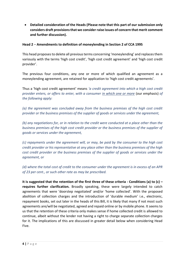• **Detailed consideration of the Heads (Please note that this part of our submission only considers draft provisions that we consider raise issues of concern that merit comment and further discussion).**

## **Head 2** – **Amendments to definition of moneylending in Section 2 of CCA 1995**

This head proposes to delete all previous terms concerning 'moneylending' and replaces them variously with the terms 'high cost credit', 'high cost credit agreement' and 'high cost credit provider'.

The previous four conditions, any one or more of which qualified an agreement as a moneylending agreement, are retained for application to 'high cost credit agreements'.

Thus a 'high cost credit agreement' means *'a credit agreement into which a high cost credit provider enters, or offers to enter, with a consumer in which one or more* (our emphasis) *of the following apply:*

*(a) the agreement was concluded away from the business premises of the high cost credit provider or the business premises of the supplier of goods or services under the agreement,* 

*(b) any negotiations for, or in relation to the credit were conducted at a place other than the business premises of the high cost credit provider or the business premises of the supplier of goods or services under the agreement,*

*(c) repayments under the agreement will, or may, be paid by the consumer to the high cost credit provider or his representative at any place other than the business premises of the high cost credit provider or the business premises of the supplier of goods or services under the agreement, or* 

*(d) where the total cost of credit to the consumer under the agreement is in excess of an APR of 23 per cent., or such other rate as may be prescribed.*

**It is suggested that the retention of the first three of these criteria - Conditions (a) to (c) – requires further clarification.** Broadly speaking, these were largely intended to catch agreements that were 'doorstep negotiated' and/or 'home collected'. With the proposed abolition of collection charges and the introduction of 'durable medium' i.e., electronic, repayment books, set out later in the heads of this Bill, it is likely that many if not most such agreements are/will be negotiated, agreed and repaid online or by mobile phone. It seems to us that the retention of these criteria only makes sense if home collected credit is allowed to continue, albeit without the lender not having a right to charge separate collection charges for it. The implications of this are discussed in greater detail below when considering Head Five.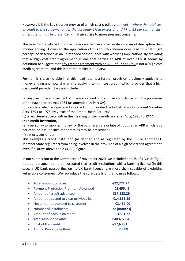However, it is the key (fourth) proviso of a high cost credit agreement - *'where the total cost of credit to the consumer under the agreement is in excess of an APR of 23 per cent, or such other rate as may be prescribed'*- that gives rise to more pressing concerns.

The term 'high cost credit' is broadly more effective and accurate in terms of description than 'moneylending'. However, the application of this fourth criterion does lead to what might perhaps be described as an unintended consequence with worrying implications. By providing that a 'high cost credit agreement' is one that carries an APR of over 23%, it seems by definition to suggest that any credit agreement with an APR of under 23% is not a 'high cost credit agreement' and this is not the reality in our view.

Further, it is also notable that this head retains a further provision previously applying to moneylending and now similarly to applying to high cost credit, which provides that a high cost credit provider does not include:

(a) any pawnbroker in respect of business carried on by him in accordance with the provisions of the Pawnbrokers Act, 1964 (as amended by Part XV),

(b) a society which is registered as a credit union under the Industrial and Provident Societies Acts, 1893 to 1978, by virtue of the Credit Union Act, 1966,

(c) a registered society within the meaning of the Friendly Societies Acts, 1896 to 1977,

## **(d) a credit institution,**

(e) a person who supplies money for the purchase, sale or hire of goods at an APR which is 23 per cent. or less (or such other rate as may be prescribed),

(f) a mortgage lender.

This exempts a credit institution (as defined and as regulated by the CBI or another EU Member State regulator) from being involved in the provision of a high cost credit agreement, even if it strays above the 23% APR figure.

In our submission to the Committee of November 2020, we included details of a 'Celtic Tiger' 'top-up' personal loan that illustrated that credit institutions with a banking licence (in this case, a UK bank passporting on its UK bank licence) are more than capable of exploiting vulnerable consumers. We reproduce the core details of that loan as follows:

| $\bullet$ | <b>Total amount of Loan</b>                | €22,777.74  |
|-----------|--------------------------------------------|-------------|
| $\bullet$ | <b>Payment Protection Premium Advanced</b> | €5,495.45   |
| $\bullet$ | Amount of credit advanced                  | €17,282.29  |
| $\bullet$ | Amount deducted to clear previous loan     | €14,865.29  |
| $\bullet$ | Net amount advanced to customer            | €2,417.00   |
| $\bullet$ | Number of instalments                      | 72 (months) |
| $\bullet$ | Amount of each instalment                  | €561.22     |
| $\bullet$ | Total amount payable                       | €40,407.84  |
|           | Cost of this credit                        | €17,630.10  |
| $\bullet$ | Annual Percentage Rate                     | 23.4%       |
|           |                                            |             |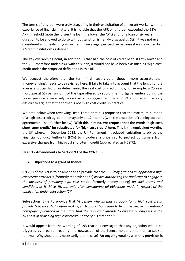The terms of this loan were truly staggering in their exploitation of a migrant worker with no experience of financial matters. It is notable that the APR on this loan exceeded the 23% APR threshold (note the longer the loan, the lower the APR) and for a loan of six years duration to be allowed to do so without sanction is frankly disgraceful. Still, it was not even considered a moneylending agreement from a legal perspective because it was provided by a 'credit institution' as defined.

The key overarching point, in addition, is that had the cost of credit been slightly lower and the APR therefore under 23% with this loan, it would not have been classified as 'high cost' credit under the proposed definitions in this Bill.

We suggest therefore that the term 'high cost credit', though more accurate than 'moneylending', needs to be revisited here. It fails to take into account that the length of the loan is a crucial factor in determining the real cost of credit. Thus, for example, a 25 year mortgage at 5% per annum (of the type offered by sub-prime mortgage lenders during the boom years) is a massively more costly mortgage than one at 2.5% and it would be very difficult to argue that the former is not 'high cost credit' in practice.

We note below when reviewing Head Three, that it is proposed that the maximum duration of a high cost credit agreement may only be 12 months (with the exception of running account agreements – see further below). **With this in mind, we propose that the words 'high-cost, short-term credit,' be substituted for 'high cost credit' here.** This is the equivalent wording the UK where, in December 2013, the UK Parliament introduced legislation to oblige the Financial Conduct Authority (FCA) to introduce a price cap to protect consumers from excessive charges from high-cost short-term credit (abbreviated as HCSTC).

# **Head 3 - Amendments to Section 93 of the CCA 1995**

# • **Objections to a grant of licence**

S.93 (1) of the Act is to be amended to provide that the CBI *'may grant to an applicant a high cost credit provider's* (formerly moneylender's) *licence authorising the applicant to engage in the business of providing high cost credit* (formerly moneylending) *on such terms and conditions as it thinks fit, but only after considering all objections made in respect of the application under subsection (2)'.*

Sub-section (2) is to provide that *'A person who intends to apply for a high cost credit provider's licence shall before making such application cause to be published, in any national newspaper published in the State that the applicant intends to engage or engages in the business of providing high cost credit, notice of his intention."*

It would appear from the wording of s.93 that it is envisaged that any objection would be triggered by a person reading in a newspaper of the licence holder's intention to seek a renewal. Why should this necessarily be the case? **An ongoing weakness in this provision is**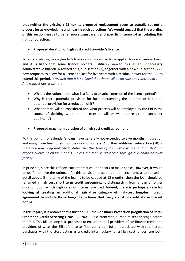**that neither the existing s.93 nor its proposed replacement seem to actually set out a processfor acknowledging and hearing such objections. We would suggest that the wording of this section needs to be far more transparent and specific in terms of articulating this right of objection.**

• **Proposed duration of high cost credit provider's licence**

To our knowledge, moneylender's licences up to now had to be applied for on an annual basis, and it is likely that some licence holders justifiably viewed this as an unnecessary administrative burden. A revised s.93, sub-section (7), together with a new sub-section (7A), now proposes to allow for a licence to last for five years with a residual power for the CBI to extend this period, *'provided that it is satisfied that there will be no consumer detriment'.*  A few questions arise here:

- What is the rationale for what is a fairly dramatic extension of the licence period?
- Why is there potential provision for further extending the duration of it but no potential provision for a reduction of it?
- What criteria will be considered and what process will be employed by the CBI in the course of deciding whether an extension will or will not result in 'consumer detriment'?
- **Proposed maximum duration of a high cost credit agreement**

To this point, moneylender's loans have generally not exceeded twelve months in duration and many have been of six months duration or less. A further additional sub-section (7B) is therefore now proposed which states that *'the term of the* (high cost credit) *loan shall not exceed twelve calendar months, unless the loan is advanced through a running account facility'.*

In principle, since this reflects current practice, it appears to make sense. However, it would be useful to have the rationale for this provision teased out in practice, and, as proposed in detail above, if the term of the loan is to be capped at 12 months, then the loan should be renamed a **high cost short term** credit agreement, to distinguish it from a loan of longer duration upon which high rates of interest are paid. **Indeed, there is perhaps a case for looking at creating an additional legislative category of high-cost long-term credit agreement to include those longer term loans that carry a cost of credit above market norms.**

In this regard, it is notable that a further Bill – the **Consumer Protection (Regulation of Retail Credit and Credit Servicing Firms) Bill 2021** – is currently adjourned at second stage before the Dail. This Bill, at long last, proposes to ensure that all providers of car finance credit and providers of what the Bill refers to as 'indirect' credit (often associated with retail store purchases with the store acting as a credit intermediary for a high cost lender) are both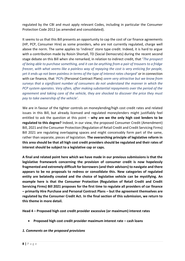regulated by the CBI and must apply relevant Codes, including in particular the Consumer Protection Code 2012 (as amended and consolidated).

It seems to us that this Bill presents an opportunity to cap the cost of car finance agreements (HP, PCP, Consumer Hire) as some providers, who are not currently regulated, charge well above the norm. The same applies to 'indirect' store type credit. Indeed, it is hard to argue with a contribution made by Roisin Shortall, TD (Social Democrats) during the recent second stage debate on this Bill when she remarked, in relation to indirect credit, that '*The prospect of being able to purchase something, and it can be anything from a pair of trousers to a fridge freezer, with what seems like a painless way of repaying the cost is very enticing for people, yet it ends up not been painless in terms of the type of interest rates charged'* or in connection with car finance, that *'PCPs* (Personal Contract Plans) *seem very attractive but we know from surveys that a significant number of consumers do not understand the manner in which the PCP system operates. Very often, after making substantial repayments over the period of the agreement and taking care of the vehicle, they are shocked to discover the price they must pay to take ownership of the vehicle'.* 

We are in favour of the tighter controls on moneylending/high cost credit rates and related issues in this Bill, but already licensed and regulated moneylenders might justifiably feel entitled to ask the question at this point – **why are we the only high cost lenders to be regulated to this degree?** Indeed, in our view, the proposed Consumer Credit (Amendment) Bill, 2021 and the Consumer Protection (Regulation of Retail Credit and Credit Servicing Firms) Bill 2021 are regulating overlapping spaces and might conceivably form part of the same, rather than separate, pieces of legislation. **The overarching principle of legislative reform in this area should be that all high cost credit providers should be regulated and their rates of interest should be subject to a legislative cap or caps.**

**A final and related point here which we have made in our previous submissions is that the legislative framework concerning the provision of consumer credit is now hopelessly fragmented and extremely difficult for borrowers (and their advisors) to navigate and there appears to be no proposals to redress or consolidate this. New categories of regulated entity are belatedly created and the choice of legislative vehicle can be mystifying. An example here is that the Consumer Protection (Regulation of Retail Credit and Credit Servicing Firms) Bill 2021 proposes for the first time to regulate all providers of car finance – primarily Hire Purchase and Personal Contract Plans – but the agreement themselves are regulated by the Consumer Credit Act. In the final section of this submission, we return to this theme in more detail.**

**Head 4 – Proposed high cost credit provider excessive (or maximum) interest rates**

• **Proposed high cost credit provider maximum interest rate – cash loans**

## *1. Comments on the proposed provisions*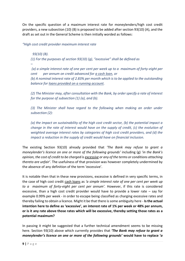On the specific question of a maximum interest rate for moneylenders/high cost credit providers, a new subsection (10) (B) is proposed to be added after section 93(10) (A), and the draft as set out in the General Scheme is then initially worded as follows:

*"High cost credit provider maximum interest rate* 

 *93(10) (B).* 

*–*

*(1) For the purposes of section 93(10) (g), "excessive" shall be defined as* 

*(a) a simple interest rate of one per cent per week up to a maximum of forty-eight per cent per annum on credit advanced for a cash loan, or* 

*(b) A nominal interest rate of 2.83% per month which is to be applied to the outstanding balance for loans provided on a running account.* 

*(2) The Minister may, after consultation with the Bank, by order specify a rate of interest for the purpose of subsection (1) (a), and (b).* 

*(3) The Minister shall have regard to the following when making an order under subsection (2):* 

*(a) the impact on sustainability of the high cost credit sector, (b) the potential impact a change in the rate of interest would have on the supply of credit, (c) the evolution of weighted average interest rates by categories of high cost credit providers, and (d) the impact a reduction in the supply of credit would have on financial inclusion.* 

The existing Section 93(10) already provided that *'The Bank may refuse to grant a moneylender's licence on one or more of the following grounds'* including (g) '*in the Bank's opinion, the cost of credit to be charged is excessive or any of the terms or conditions attaching thereto are unfair'.* The usefulness of that provision was however completely undermined by the absence of any definition of the term 'excessive'.

It is notable then that in these new provisions, excessive is defined in very specific terms, in the case of high cost credit cash loans as *'a simple interest rate of one per cent per week up to a maximum of forty-eight per cent per annum'.* However, if this rate is considered excessive, than a high cost credit provider would have to provide a lower rate – say for example 0.99% per week - in order to escape being classified as charging excessive rates and thereby failing to obtain a licence. Might it be that there is some ambiguity here - **Is the actual intention here to define as 'excessive', an interest rate of 1% per week or 48% per annum, or is it any rate above those rates which will be excessive, thereby setting those rates as a potential maximum?**

In passing it might be suggested that a further technical amendment seems to be missing here. Section 93(10) above which currently provides that *'The Bank may refuse to grant a moneylender's licence on one or more of the following grounds'* **would have to replace '***a*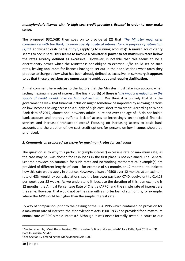## *moneylender's licence* **with '***a high cost credit provider's licence'* **in order to now make sense***.*

The proposed 93(10)(B) then goes on to provide at (2) that *'The Minister may, after consultation with the Bank, by order specify a rate of interest for the purpose of subsection (1)(a)* (applying to cash loans)*, and (b)* (applying to running accounts)*'.* A similar lack of clarity seems to occur here. **This seems to involve a Ministerial power to set maximum rates below the rates already defined as excessive.**However, is notable that this seems to be a discretionary power which the Minister is not obliged to exercise. S/he could set no such rates, leaving applicants for licences having to set out in their applications what rates they propose to charge below what has been already defined as excessive. **In summary, it appears to us that these provisions are unnecessarily ambiguous and require clarification.**

A final comment here relates to the factors that the Minister must take into account when setting maximum rates of interest. The final (fourth) of these is '*the impact a reduction in the supply of credit would have on financial inclusion'.* We think it is unlikely that it is the government's view that financial inclusion might somehow be improved by allowing persons on low incomes having access to a supply of high-cost, short-term credit. According to World Bank data of 2017, almost one in twenty adults In Ireland over the age of 15 do not hold a bank account and thereby suffer a lack of access to increasingly technological financial services and increased transaction costs. $1$  Focusing on increasing access to basic bank accounts and the creation of low cost credit options for persons on low incomes should be prioritised.

## *2. Comments on proposed excessive (or maximum) rates for cash loans*

The question as to why this particular (simple interest) excessive rate or maximum rate, as the case may be, was chosen for cash loans in the first place is not explained. The General Scheme provides no rationale for such rates and no working mathematical example(s) are provided of different lengths of loan – for example of six months or 12 months - to indicate how this rate would apply in practice. However, a loan of €500 over 12 months at a maximum rate of 48% would, by our calculations, see the borrower pay back €740, equivalent to €14.23 per week over 52 weeks. As we understand it, because the duration of this loan example is 12 months, the Annual Percentage Rate of Charge (APRC) and the simple rate of interest are the same. However, that would not be the case with a shorter loan of six months, for example, where the APR would be higher than the simple interest rate.

By way of comparison, prior to the passing of the CCA 1995 which contained no provision for a maximum rate of interest, the Moneylenders Acts 1900-1933 had provided for a maximum annual rate of 39% simple interest.<sup>2</sup> Although it was never formally tested in court to our

<sup>1</sup> See for example, 'Meet the unbanked: Who is Ireland's financially excluded?' Tara Kelly, April 2019 – UCD Data Journalism Studio.

<sup>2</sup> See Section 17 amending the Moneylenders Act 1900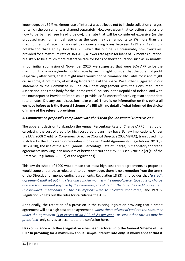knowledge, this 39% maximum rate of interest was believed not to include collection charges, for which the consumer was charged separately. However, given that collection charges are now to be banned (see Head 6 below), the rate that will be considered excessive (or the proposed maximum annual rate or as the case may be), amounts to 9% more than the maximum annual rate that applied to moneylending loans between 1939 and 1995. It is notable too that Deputy Doherty's Bill (which this outline Bill presumably now overtakes) provided for a maximum rate of 36% APR, a lower rate again for loans of 12 months duration, but likely to be a much more restrictive rate for loans of shorter duration such as six months.

In our initial submission of November 2020, we suggested that were 36% APR to be the maximum that a moneylender could charge by law, it might consider that the potential profit (especially after costs) that it might make would not be commercially viable for it and might cause some, if not many, of existing lenders to exit the space. We further suggested in our statement to the Committee in June 2021 that engagement with the Consumer Credit Association, the trade body for the 'home credit' industry in the Republic of Ireland, and with the now departed Provident Credit, could provide useful context for arriving at an appropriate rate or rates. Did any such discussions take place? **There is no information on this point; all we have before us is the General Scheme of a Bill with no detail of what informed the choice of many of the relevant provisions.**

## *3. Comments on proposal's compliance with the 'Credit for Consumers' Directive 2008*

The apparent decision to abandon the Annual Percentage Rate of Charge (APRC) method of calculating the cost of credit for high cost credit loans may have EU law implications. Under the EU's 2008 Credit for Consumers Directive (Council Directive 2008/48/EC), transposed into Irish law by the European Communities (Consumer Credit Agreements) Regulations 2010 (SI 281/2010), the use of the APRC (Annual Percentage Rate of Charge) is mandatory for credit agreements involving loan amounts of between €200 and €75,000 (see Article 2 (2) (c) of the Directive, Regulation 3 (6) (c) of the regulations).

This low threshold of €200 would mean that most high cost credit agreements as proposed would come under these rules, and, to our knowledge, there is no exemption from the terms of the Directive for moneylending agreements. Regulation 13 (3) (g) provides that '*a credit agreement shall set out in a clear and concise manner - the annual percentage rate of charge and the total amount payable by the consumer, calculated at the time the credit agreement is concluded (mentioning all the assumptions used to calculate that rate)',* and Part 5, Regulation 22 sets out the rules for calculating the APRC.

Additionally, the retention of a provision in the existing legislation providing that a credit agreement will be a high cost credit agreement '*where the total cost of credit to the consumer under the agreement is in excess of an APR of 23 per cent., or such other rate as may be prescribed'* only serves to accentuate the confusion here*.*

**Has compliance with these legislative rules been factored into the General Scheme of the Bill? In providing for a maximum annual simple interest rate only, it would appear that it**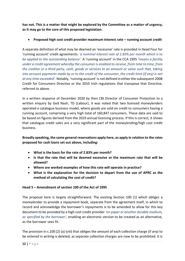**has not. This is a matter that might be explored by the Committee as a matter of urgency, as it may go to the core of this proposed legislation.**

• **Proposed high cost credit provider maximum interest rate – running account credit**

A separate definition of what may be deemed an 'excessive' rate is provided in Head Four for 'running account' credit agreements: *'a nominal interest rate of 2.83% per month which is to be applied to the outstanding balance'.* A 'running account' in the CCA 1995 *'means a facility under a credit agreement whereby the consumer is enabled to receive, from time to time, from the creditor or a third party, cash, goods or services to an amount or value such that, taking into account payments made by or to the credit of the consumer, the credit limit (if any) is not at any time exceeded'.* Notably, 'running account' is not defined in either the subsequent 2008 Credit for Consumers Directive or the 2010 Irish regulations that transpose that Directive, referred to above.

In a written response of December 2020 by then CBI Director of Consumer Protection to a written enquiry by Ged Nash, TD (Labour), it was noted that two licensed moneylenders operated a catalogue business model, where goods are sold on credit to consumers having a running account, comprising a very high total of 160,847 consumers. These data are said to be based on figures derived from the 2019 annual licensing process. If this is correct, it shows that catalogue credit sales are a very significant part of the moneylending/high cost credit business.

**Broadly speaking, the same general reservations apply here, as apply in relation to the rates proposed for cash loans set out above, including:**

- **What is the basis for the rate of 2.83% per month?**
- **Is that the rate that will be deemed excessive or the maximum rate that will be allowed?**
- **Where are worked examples of how this rate will operate in practice?**
- **What is the explanation for the decision to depart from the use of APRC as the method of calculating the cost of credit?**

## **Head 5 – Amendment of section 100 of the Act of 1995**

The proposal here is largely straightforward. The existing Section 100 (1) which obliges a moneylender to provide a repayment book, separate from the agreement itself, in which to record and acknowledge the borrower's repayments is to be amended to allow for this key document to be provided by a high cost credit provider *'on paper or another durable medium, as specified by the borrower'*, enabling an electronic version to be created as an alternative, as the borrower sees fit.

The provision in s.100 (2) (a) (viii) that obliges the amount of each collection charge (if any) to be entered in writing is deleted, as separate collection charges are now to be prohibited. It is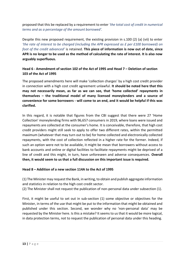proposed that this be replaced by a requirement to enter *'the total cost of credit in numerical terms and as a percentage of the amount borrowed'.* 

Despite this new proposed requirement, the existing provision in s.100 (2) (a) (vii) to enter *'the rate of interest to be charged (including the APR expressed as £ per £100 borrowed) on foot of the credit advanced'* is retained. **This piece of information is now out of date, since APR is no longer to be used as the method of calculating the rate of interest. It is also now arguably superfluous.**

## **Head 6 - Amendment of section 102 of the Act of 1995 and Head 7 – Deletion of section 103 of the Act of 1995**

The proposed amendments here will make 'collection charges' by a high cost credit provider in connection with a high cost credit agreement unlawful. **It should be noted here that this may not necessarily mean, as far as we can see, that 'home collected' repayments in themselves – the traditional model of many licensed moneylenders and a source of convenience for some borrowers - will come to an end, and it would be helpful if this was clarified.** 

In this regard, it is notable that figures from the CBI suggest that there were 27 'Home Collection' moneylending firms with 96,657 consumers in 2019, where loans were issued and repayments are collected at the consumer's home. It is conceivable, therefore, that high cost credit providers might still seek to apply to offer two different rates, within the permitted maximum (whatever that may turn out to be) for home collected and electronically collected repayments, with the cost of collection reflected in a higher rate for the former. Indeed, if such an option were not to be available, it might be mean that borrowers without access to bank accounts and online or digital facilities to facilitate repayments might be deprived of a line of credit and this might, in turn, have unforeseen and adverse consequences. **Overall then, it would seem to us that a full discussion on this important issue is required.** 

## **Head 8 – Addition of a new section 114A to the Act of 1995**

(1) The Minister may request the Bank, in writing, to obtain and publish aggregate information and statistics in relation to the high cost credit sector.

(2) The Minister shall not request the publication of non-personal data under subsection (1).

First, it might be useful to set out in sub-section (1) some objective or objectives for the Minister, in terms of the use that might be put to the information that might be obtained and published under this section. Second, we wonder why no 'non-personal data' may be requested by the Minister here. Is this a mistake? It seems to us that it would be more logical, in data protection terms, not to request the publication of personal data under this heading.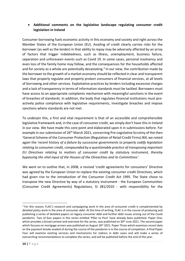## • **Additional comments on the legislative landscape regulating consumer credit legislation in Ireland**

Consumer borrowing fuels economic activity in this economy and society and right across the Member States of the European Union (EU). Availing of credit clearly carries risks for the borrower (as well as the lender) in that ability to repay may be adversely affected by an array of factors that trigger indebtedness, such as illness, unemployment, business failure, separation and unforeseen events such as Covid 19. In some cases, personal insolvency and even loss of the family home may follow, and the consequences for the households affected and for society as a whole are potentially devastating.<sup>3</sup> In our view, the contribution made by the borrower to the growth of a market economy should be reflected in clear and transparent laws that properly regulate and properly protect consumers of financial services, at all levels of borrowing and other services. Exploitative practices by lenders including excessive charges and a lack of transparency in terms of information standards must be tackled. Borrowers must have access to an appropriate complaints mechanism with meaningful sanctions in the event of breaches of standards. In addition, the body that regulates financial institutions must proactively police compliance with legislative requirements, investigate breaches and impose sanctions where standards are not met.

To underpin this, a first and vital requirement is that of an accessible and comprehensible legislative framework and, in the case of consumer credit, we simply don't have this in Ireland in our view. We have made this core point and elaborated upon it in submissions before. For example in our submission of 26<sup>th</sup> March 2021, concerning Pre-Legislative Scrutiny of the then 'General Scheme of the Consumer Protection (Regulation of Retail Credit Firms) Bill, we noted again the *'recent history of a failure by successive governments to properly codify legislation relating to consumer credit, compounded by a questionable practice of transposing important EU Directives relating to matters of consumer credit by statutory instrument, thereby bypassing the vital input of the Houses of the Oireachtas and its Committees'.* 

We went on to outline that, in 2008, a revised 'credit agreements for consumers' Directive was agreed by the European Union to replace the existing consumer credit Directives, which had given rise to the introduction of the Consumer Credit Act 1995. The State chose to transpose the new Directive by way of a statutory instrument - the European Communities (Consumer Credit Agreements) Regulations, SI 281/2010 - with responsibility for the

<sup>&</sup>lt;sup>3</sup> For this reason, FLAC's research and campaigning work in the area of consumer credit is complemented by detailed policy work in the area of consumer debt. At the time of writing, FLAC is in the course of producing and publishing a series of detailed papers on legacy consumer debt and further debt issues arising out of the Covid pandemic. Two of four papers in this series entitled 'Pillar to Post' have already been published. Paper One, which provides a broad context and overview for the series, was published on 30<sup>th</sup> June 2021. The second paper which focuses on mortgage arrears was published on August 18<sup>th</sup> 2021. Paper Three which examines recent data on the payment breaks availed of during the course of the pandemic is in the course of completion. A final Paper Four will examine existing services and mechanisms for redress in debt cases and will make a series of overarching recommendations to complete the series, and will be published before the end of the year.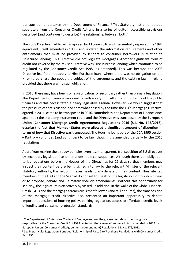transposition undertaken by the Department of Finance.<sup>4</sup> This Statutory Instrument stood separately from the Consumer Credit Act and in a series of quite inaccessible provisions described (and continues to describe) the relationship between both.<sup>5</sup>

The 2008 Directive had to be transposed by 11 June 2010 and it essentially repealed the 1987 equivalent (itself amended in 1990) and updated the information requirements and other entitlements that must be provided by lenders to consumer borrowers in relation to unsecured lending. This Directive did not regulate mortgages. Another significant form of credit not covered by the revised Directive was Hire Purchase lending which continued to be regulated by the Consumer Credit Act 1995 (as amended). This was because the 2008 Directive itself did not apply to Hire Purchase loans where there was no obligation on the Hirer to purchase the goods the subject of the agreement, and the existing law in Ireland provided that there was no such obligation.

In 2010, there may have been some justification for secondary rather than primary legislation. The Department of Finance was dealing with a very difficult situation in terms of the public finances and this necessitated a heavy legislative agenda. However, we would suggest that the pressure of that situation had somewhat eased by the time the EU's Mortgage Directive, agreed in 2014, came to be transposed in 2016. Nonetheless, the Department of Finance once again took the statutory instrument route and the Directive was transposed by the **European Union (Consumer Mortgage Credit Agreements) Regulations 2016 (S.I. No. 142/2016), despite the fact that Member States were allowed a significant amount of discretion in terms of how that Directive was transposed.** The Housing loans part of the CCA 1995 section – Part IX – continues (and continues) to be law, though it is amended partially by the 2016 regulations.

Apart from making the already complex even less transparent, transposition of EU directives by secondary legislation has other undesirable consequences. Although there is an obligation to lay regulations before the Houses of the Oireachtas for 21 days so that members may inspect their content before being signed into law by the relevant Minister or the relevant statutory authority, this seldom (if ever) leads to any debate on their content. Thus, elected members of the Dail and the Seanad do not get to speak on the legislation, or to submit ideas or to propose, debate and ultimately vote on amendments. Without this opportunity for scrutiny, the legislature is effectively bypassed. In addition, in the wake of the Global Financial Crash (GFC) and the mortgage arrears crisis that followed (and still endures), the transposition of the mortgage credit directive also presented an important opportunity to debate important questions of housing policy, banking regulation, access to affordable credit, levels of lending and consumer protection standards

<sup>4</sup> The Department of Enterprise, Trade and Employment was the government department originally responsible for the Consumer Credit Act 1995. Note that these regulations were in turn amended in 2012 by European Union (Consumer Credit Agreements) (Amendment) Regulations, S.I. No. 579/2012.

<sup>5</sup> See in particular Regulation 4 entitled 'Relationship of Parts 2 to 7 of these Regulations with Consumer Credit Act 1995'.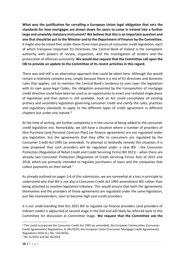**What was the justification for corralling a European Union legal obligation that sets the standards for how mortgages are drawn down for years to come in Ireland into a further large and unwieldy statutory instrument? We believe that this is an important question and one that should be put to the Minister and to the Department of Finance by the Committee.** It might also be noted that under these three main pieces of consumer credit legislation, each of which transpose important EU Directives, the Central Bank of Ireland is the competent authority with powers of review, inspection, and the investigation of lenders and the prosecution of offences summarily. **We would also request that the Committee call upon the CBI to provide an update to the Committee of its recent activities in this regard.**

There was and still is an alternative approach that could be taken here. Although this would remain a relatively complex area, simply because there is a mix of EU directives and domestic rules that applies, not to mention the Central Bank's tendency to over layer the legislation with its own quasi-legal Codes, the obligation presented by the transposition of mortgage credit directive could have been be used as an opportunity to enact one restated single piece of legislation and that option is still available. Such an Act could consolidate all existing primary and secondary legislation governing consumer credit and clarify the rules, practices and regulatory standards to apply to the different types of credit agreement in different chapters but under one statute. 6

At the time of writing, yet further complexity is in the course of being added to the consumer credit legislative mix. Remarkably, we still have a situation where a number of providers of Hire Purchase (and Personal Contract Plan) car finance agreements are not regulated under any legislation, but the agreements that they offer to consumers are regulated by the Consumer Credit Act 1995 (as amended). To attempt to belatedly remedy this situation, it is now proposed that such providers will be regulated under a new Bill - the Consumer Protection (Regulation of Retail Credit and Credit Servicing Firms) Bill 2021) - when there are already two Consumer Protection (Regulation of Credit Servicing Firms) Acts of 2015 and 2018, which are primarily intended to regulate purchasers of loans and the companies that collect payments on their behalf.<sup>7</sup>

As already outlined on pages 5-6 of this submission, we are somewhat at a loss in principle to understand why that Bill is not also a Consumer Credit Act 1995 amendment Bill, rather than being attached to another legislative tributary. This would ensure that both the agreements themselves and the providers of those agreements are regulated under the same legislation, just like moneylenders, soon to become high cost credit providers.

It is our understanding that this 2021 Bill to regulate car finance providers (and providers of indirect credit) is adjourned at second stage in the Dail and will likely be referred back to this Committee for discussion at Committee Stage. **We request that the Committee ask the** 

<sup>6</sup> This could incorporate the Consumer Credit Act 1995 (as amended); the European Communities (Consumer Credit Agreements) Regulations, SI 281/2010; the European Union (Consumer Mortgage Credit Agreements) Regulations 2016 (S.I. No. 142/2016).

<sup>7</sup> No 21/2015 and No 36/2018